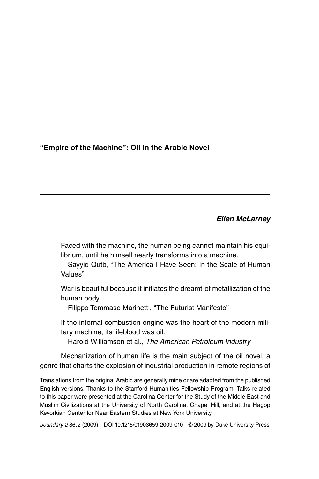**"Empire of the Machine": Oil in the Arabic Novel**

## *Ellen McLarney*

Faced with the machine, the human being cannot maintain his equilibrium, until he himself nearly transforms into a machine.

—Sayyid Qutb, "The America I Have Seen: In the Scale of Human Values"

War is beautiful because it initiates the dreamt-of metallization of the human body.

—Filippo Tommaso Marinetti, "The Futurist Manifesto"

If the internal combustion engine was the heart of the modern military machine, its lifeblood was oil.

—Harold Williamson et al., *The American Petroleum Industry*

Mechanization of human life is the main subject of the oil novel, a genre that charts the explosion of industrial production in remote regions of

Translations from the original Arabic are generally mine or are adapted from the published English versions. Thanks to the Stanford Humanities Fellowship Program. Talks related to this paper were presented at the Carolina Center for the Study of the Middle East and Muslim Civilizations at the University of North Carolina, Chapel Hill, and at the Hagop Kevorkian Center for Near Eastern Studies at New York University.

*boundary 2* 36:2 (2009) DOI 10.1215/01903659-2009-010 © 2009 by Duke University Press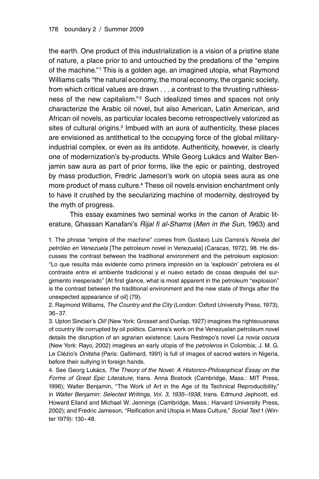the earth. One product of this industrialization is a vision of a pristine state of nature, a place prior to and untouched by the predations of the "empire of the machine."<sup>1</sup> This is a golden age, an imagined utopia, what Raymond Williams calls "the natural economy, the moral economy, the organic society, from which critical values are drawn . . . a contrast to the thrusting ruthlessness of the new capitalism."<sup>2</sup> Such idealized times and spaces not only characterize the Arabic oil novel, but also American, Latin American, and African oil novels, as particular locales become retrospectively valorized as sites of cultural origins.<sup>3</sup> Imbued with an aura of authenticity, these places are envisioned as antithetical to the occupying force of the global militaryindustrial complex, or even as its antidote. Authenticity, however, is clearly one of modernization's by-products. While Georg Lukács and Walter Benjamin saw aura as part of prior forms, like the epic or painting, destroyed by mass production, Fredric Jameson's work on utopia sees aura as one more product of mass culture.<sup>4</sup> These oil novels envision enchantment only to have it crushed by the secularizing machine of modernity, destroyed by the myth of progress.

This essay examines two seminal works in the canon of Arabic literature, Ghassan Kanafani's *Rijal fi al-Shams* (*Men in the Sun*, 1963) and

. The phrase "empire of the machine" comes from Gustavo Luis Carrera's *Novela del petróleo en Venezuela* [The petroleum novel in Venezuela] (Caracas, 1972), 98. He discusses the contrast between the traditional environment and the petroleum explosion: "Lo que resulta más evidente como primera impresión en la 'explosión' petrolera es el contraste entre el ambiente tradicional y el nuevo estado de cosas después del surgimiento inesperado" [At first glance, what is most apparent in the petroleum "explosion" is the contrast between the traditional environment and the new state of things after the unexpected appearance of oil] (79).

. Raymond Williams, *The Country and the City* (London: Oxford University Press, 1973), 36–37.

. Upton Sinclair's *Oil!* (New York: Grosset and Dunlap, 1927) imagines the righteousness of country life corrupted by oil politics. Carrera's work on the Venezuelan petroleum novel details the disruption of an agrarian existence; Laura Restrepo's novel *La novia oscura* (New York: Rayo, 2002) imagines an early utopia of the *petroleros* in Colombia; J. M. G. Le Clézio's *Onitsha* (Paris: Gallimard, 1991) is full of images of sacred waters in Nigeria, before their sullying in foreign hands.

. See Georg Lukács, *The Theory of the Novel: A Historico-Philosophical Essay on the Forms of Great Epic Literature*, trans. Anna Bostock (Cambridge, Mass.: MIT Press, 1996); Walter Benjamin, "The Work of Art in the Age of Its Technical Reproducibility," in *Walter Benjamin: Selected Writings, Vol. 3, 1935–1938*, trans. Edmund Jephcott, ed. Howard Eiland and Michael W. Jennings (Cambridge, Mass.: Harvard University Press, 2002); and Fredric Jameson, "Reification and Utopia in Mass Culture," *Social Text* 1 (Winter 1979): 130–48.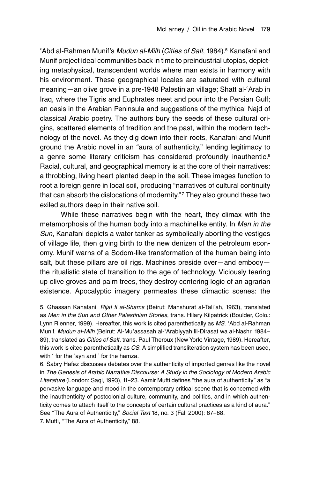ʿAbd al-Rahman Munif's *Mudun al-Milh* (*Cities of Salt*, 1984). Kanafani and Munif project ideal communities back in time to preindustrial utopias, depicting metaphysical, transcendent worlds where man exists in harmony with his environment. These geographical locales are saturated with cultural meaning—an olive grove in a pre-1948 Palestinian village; Shatt al-ʿArab in Iraq, where the Tigris and Euphrates meet and pour into the Persian Gulf; an oasis in the Arabian Peninsula and suggestions of the mythical Najd of classical Arabic poetry. The authors bury the seeds of these cultural origins, scattered elements of tradition and the past, within the modern technology of the novel. As they dig down into their roots, Kanafani and Munif ground the Arabic novel in an "aura of authenticity," lending legitimacy to a genre some literary criticism has considered profoundly inauthentic.<sup>6</sup> Racial, cultural, and geographical memory is at the core of their narratives: a throbbing, living heart planted deep in the soil. These images function to root a foreign genre in local soil, producing "narratives of cultural continuity that can absorb the dislocations of modernity." They also ground these two exiled authors deep in their native soil.

While these narratives begin with the heart, they climax with the metamorphosis of the human body into a machinelike entity. In *Men in the Sun*, Kanafani depicts a water tanker as symbolically aborting the vestiges of village life, then giving birth to the new denizen of the petroleum economy. Munif warns of a Sodom-like transformation of the human being into salt, but these pillars are oil rigs. Machines preside over—and embody the ritualistic state of transition to the age of technology. Viciously tearing up olive groves and palm trees, they destroy centering logic of an agrarian existence. Apocalyptic imagery permeates these climactic scenes: the

. Ghassan Kanafani, *Rijal fi al-Shams* (Beirut: Manshurat al-Taliʿah, 1963), translated as *Men in the Sun and Other Palestinian Stories*, trans. Hilary Kilpatrick (Boulder, Colo.: Lynn Rienner, 1999). Hereafter, this work is cited parenthetically as *MS*. ʿAbd al-Rahman Munif, *Mudun al-Milh* (Beirut: Al-Muʾassasah al-ʿArabiyyah lil-Dirasat wa al-Nashr, 1984– 89), translated as *Cities of Salt*, trans. Paul Theroux (New York: Vintage, 1989). Hereafter, this work is cited parenthetically as *CS*. A simplified transliteration system has been used, with ' for the 'ayn and ' for the hamza.

. Sabry Hafez discusses debates over the authenticity of imported genres like the novel in *The Genesis of Arabic Narrative Discourse: A Study in the Sociology of Modern Arabic Literature* (London: Saqi, 1993), 11–23. Aamir Mufti defines "the aura of authenticity" as "a pervasive language and mood in the contemporary critical scene that is concerned with the inauthenticity of postcolonial culture, community, and politics, and in which authenticity comes to attach itself to the concepts of certain cultural practices as a kind of aura." See "The Aura of Authenticity," *Social Text* 18, no. 3 (Fall 2000): 87–88. . Mufti, "The Aura of Authenticity," 88.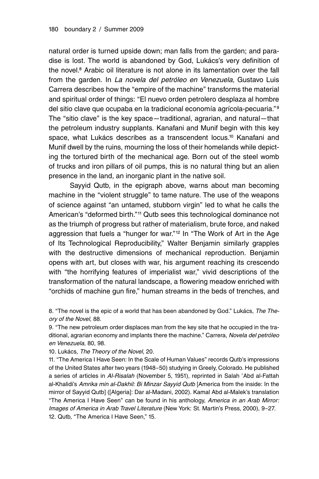natural order is turned upside down; man falls from the garden; and paradise is lost. The world is abandoned by God, Lukács's very definition of the novel.<sup>8</sup> Arabic oil literature is not alone in its lamentation over the fall from the garden. In *La novela del petróleo en Venezuela*, Gustavo Luis Carrera describes how the "empire of the machine" transforms the material and spiritual order of things: "El nuevo orden petrolero desplaza al hombre del sitio clave que ocupaba en la tradicional economía agrícola-pecuaria." The "sitio clave" is the key space—traditional, agrarian, and natural—that the petroleum industry supplants. Kanafani and Munif begin with this key space, what Lukács describes as a transcendent locus.<sup>10</sup> Kanafani and Munif dwell by the ruins, mourning the loss of their homelands while depicting the tortured birth of the mechanical age. Born out of the steel womb of trucks and iron pillars of oil pumps, this is no natural thing but an alien presence in the land, an inorganic plant in the native soil.

Sayyid Qutb, in the epigraph above, warns about man becoming machine in the "violent struggle" to tame nature. The use of the weapons of science against "an untamed, stubborn virgin" led to what he calls the American's "deformed birth."11 Qutb sees this technological dominance not as the triumph of progress but rather of materialism, brute force, and naked aggression that fuels a "hunger for war."12 In "The Work of Art in the Age of Its Technological Reproducibility," Walter Benjamin similarly grapples with the destructive dimensions of mechanical reproduction. Benjamin opens with art, but closes with war, his argument reaching its crescendo with "the horrifying features of imperialist war," vivid descriptions of the transformation of the natural landscape, a flowering meadow enriched with "orchids of machine gun fire," human streams in the beds of trenches, and

. "The novel is the epic of a world that has been abandoned by God." Lukács, *The Theory of the Novel*, 88.

. "The new petroleum order displaces man from the key site that he occupied in the traditional, agrarian economy and implants there the machine." Carrera, *Novela del petróleo en Venezuela*, 80, 98.

10. Lukács, *The Theory of the Novel*, 20.

11. "The America I Have Seen: In the Scale of Human Values" records Qutb's impressions of the United States after two years (1948–50) studying in Greely, Colorado. He published a series of articles in *Al-Risalah* (November 5, 1951), reprinted in Salah ʿAbd al-Fattah al-Khalidi's *Amrika min al-Dakhil: Bi Minzar Sayyid Qutb* [America from the inside: In the mirror of Sayyid Qutb] ([Algeria]: Dar al-Madani, 2002). Kamal Abd al-Malek's translation "The America I Have Seen" can be found in his anthology, *America in an Arab Mirror: Images of America in Arab Travel Literature* (New York: St. Martin's Press, 2000), 9–27. 12. Qutb, "The America I Have Seen," 15.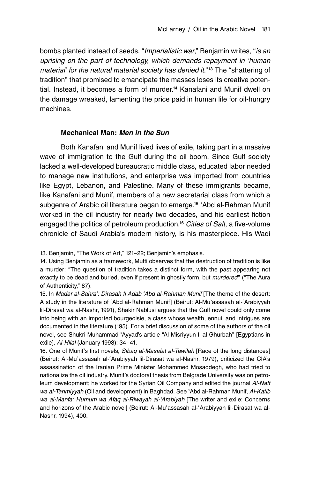bombs planted instead of seeds. "*Imperialistic war*," Benjamin writes, "*is an uprising on the part of technology, which demands repayment in 'human material' for the natural material society has denied it*."13 The "shattering of tradition" that promised to emancipate the masses loses its creative potential. Instead, it becomes a form of murder.<sup>14</sup> Kanafani and Munif dwell on the damage wreaked, lamenting the price paid in human life for oil-hungry machines.

## **Mechanical Man:** *Men in the Sun*

Both Kanafani and Munif lived lives of exile, taking part in a massive wave of immigration to the Gulf during the oil boom. Since Gulf society lacked a well-developed bureaucratic middle class, educated labor needed to manage new institutions, and enterprise was imported from countries like Egypt, Lebanon, and Palestine. Many of these immigrants became, like Kanafani and Munif, members of a new secretarial class from which a subgenre of Arabic oil literature began to emerge.<sup>15</sup> 'Abd al-Rahman Munif worked in the oil industry for nearly two decades, and his earliest fiction engaged the politics of petroleum production.16 *Cities of Salt*, a five-volume chronicle of Saudi Arabia's modern history, is his masterpiece. His Wadi

<sup>13.</sup> Benjamin, "The Work of Art," 121–22; Benjamin's emphasis.

<sup>14.</sup> Using Benjamin as a framework, Mufti observes that the destruction of tradition is like a murder: "The question of tradition takes a distinct form, with the past appearing not exactly to be dead and buried, even if present in ghostly form, but *murdered*" ("The Aura of Authenticity," 87).

<sup>15.</sup> In *Madar al-Sahraʾ: Dirasah fi Adab ʿAbd al-Rahman Munif* [The theme of the desert: A study in the literature of ʿAbd al-Rahman Munif] (Beirut: Al-Muʾassasah al-ʿArabiyyah lil-Dirasat wa al-Nashr, 1991), Shakir Nablusi argues that the Gulf novel could only come into being with an imported bourgeoisie, a class whose wealth, ennui, and intrigues are documented in the literature (195). For a brief discussion of some of the authors of the oil novel, see Shukri Muhammad ʿAyyad's article "Al-Misriyyun fi al-Ghurbah" [Egyptians in exile], *Al-Hilal* (January 1993): 34–41.

<sup>16.</sup> One of Munif's first novels, *Sibaq al-Masafat al-Tawilah* [Race of the long distances] (Beirut: Al-Muʾassasah al-ʿArabiyyah lil-Dirasat wa al-Nashr, 1979), criticized the CIA's assassination of the Iranian Prime Minister Mohammed Mosaddegh, who had tried to nationalize the oil industry. Munif's doctoral thesis from Belgrade University was on petroleum development; he worked for the Syrian Oil Company and edited the journal *Al-Naft wa al-Tanmiyyah* (Oil and development) in Baghdad. See ʿAbd al-Rahman Munif, *Al-Katib wa al-Manfa: Humum wa Afaq al-Riwayah al-ʿArabiyah* [The writer and exile: Concerns and horizons of the Arabic novel] (Beirut: Al-Muʾassasah al-ʿArabiyyah lil-Dirasat wa al-Nashr, 1994), 400.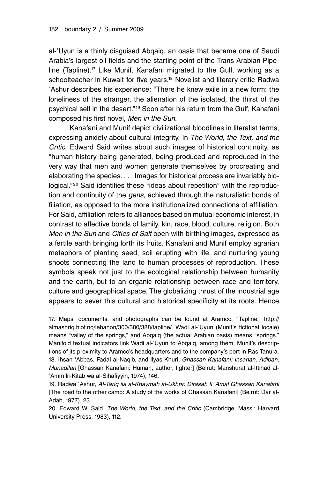al-ʿUyun is a thinly disguised Abqaiq, an oasis that became one of Saudi Arabia's largest oil fields and the starting point of the Trans-Arabian Pipeline (Tapline).<sup>17</sup> Like Munif, Kanafani migrated to the Gulf, working as a schoolteacher in Kuwait for five years.<sup>18</sup> Novelist and literary critic Radwa ʿAshur describes his experience: "There he knew exile in a new form: the loneliness of the stranger, the alienation of the isolated, the thirst of the psychical self in the desert."19 Soon after his return from the Gulf, Kanafani composed his first novel, *Men in the Sun*.

Kanafani and Munif depict civilizational bloodlines in literalist terms, expressing anxiety about cultural integrity. In *The World, the Text, and the Critic*, Edward Said writes about such images of historical continuity, as "human history being generated, being produced and reproduced in the very way that men and women generate themselves by procreating and elaborating the species. . . . Images for historical process are invariably biological."<sup>20</sup> Said identifies these "ideas about repetition" with the reproduction and continuity of the *gens*, achieved through the naturalistic bonds of filiation, as opposed to the more institutionalized connections of affiliation. For Said, affiliation refers to alliances based on mutual economic interest, in contrast to affective bonds of family, kin, race, blood, culture, religion. Both *Men in the Sun* and *Cities of Salt* open with birthing images, expressed as a fertile earth bringing forth its fruits. Kanafani and Munif employ agrarian metaphors of planting seed, soil erupting with life, and nurturing young shoots connecting the land to human processes of reproduction. These symbols speak not just to the ecological relationship between humanity and the earth, but to an organic relationship between race and territory, culture and geographical space. The globalizing thrust of the industrial age appears to sever this cultural and historical specificity at its roots. Hence

17. Maps, documents, and photographs can be found at Aramco, "Tapline," http:// almashriq.hiof.no/lebanon/300/380/388/tapline/. Wadi al-ʿUyun (Munif's fictional locale) means "valley of the springs," and Abqaiq (the actual Arabian oasis) means "springs." Manifold textual indicators link Wadi al-ʿUyun to Abqaiq, among them, Munif's descriptions of its proximity to Aramco's headquarters and to the company's port in Ras Tanura. 18. Ihsan ʿAbbas, Fadal al-Naqib, and Ilyas Khuri, *Ghassan Kanafani: Insanan, Adiban, Munadilan* [Ghassan Kanafani: Human, author, fighter] (Beirut: Manshurat al-Ittihad al-ʿAmm lil-Kitab wa al-Sihafiyyin, 1974), 146.

19. Radwa ʿAshur, *Al-Tariq ila al-Khaymah al-Ukhra: Dirasah fi ʿAmal Ghassan Kanafani* [The road to the other camp: A study of the works of Ghassan Kanafani] (Beirut: Dar al-Adab, 1977), 23.

20. Edward W. Said, *The World, the Text, and the Critic* (Cambridge, Mass.: Harvard University Press, 1983), 112.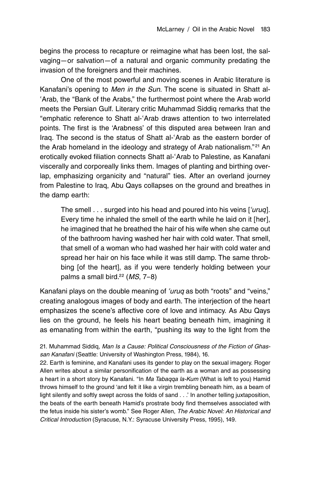begins the process to recapture or reimagine what has been lost, the salvaging—or salvation—of a natural and organic community predating the invasion of the foreigners and their machines.

One of the most powerful and moving scenes in Arabic literature is Kanafani's opening to *Men in the Sun*. The scene is situated in Shatt al-ʿArab, the "Bank of the Arabs," the furthermost point where the Arab world meets the Persian Gulf. Literary critic Muhammad Siddiq remarks that the "emphatic reference to Shatt al-ʿArab draws attention to two interrelated points. The first is the 'Arabness' of this disputed area between Iran and Iraq. The second is the status of Shatt al-ʿArab as the eastern border of the Arab homeland in the ideology and strategy of Arab nationalism."<sup>21</sup> An erotically evoked filiation connects Shatt al-ʿArab to Palestine, as Kanafani viscerally and corporeally links them. Images of planting and birthing overlap, emphasizing organicity and "natural" ties. After an overland journey from Palestine to Iraq, Abu Qays collapses on the ground and breathes in the damp earth:

The smell . . . surged into his head and poured into his veins [*ʿuruq*]. Every time he inhaled the smell of the earth while he laid on it [her], he imagined that he breathed the hair of his wife when she came out of the bathroom having washed her hair with cold water. That smell, that smell of a woman who had washed her hair with cold water and spread her hair on his face while it was still damp. The same throbbing [of the heart], as if you were tenderly holding between your palms a small bird.22 (*MS*, 7–8)

Kanafani plays on the double meaning of *ʿuruq* as both "roots" and "veins," creating analogous images of body and earth. The interjection of the heart emphasizes the scene's affective core of love and intimacy. As Abu Qays lies on the ground, he feels his heart beating beneath him, imagining it as emanating from within the earth, "pushing its way to the light from the

22. Earth is feminine, and Kanafani uses its gender to play on the sexual imagery. Roger Allen writes about a similar personification of the earth as a woman and as possessing a heart in a short story by Kanafani. "In *Ma Tabaqqa la-Kum* (What is left to you) Hamid throws himself to the ground 'and felt it like a virgin trembling beneath him, as a beam of light silently and softly swept across the folds of sand . . .' In another telling juxtaposition, the beats of the earth beneath Hamid's prostrate body find themselves associated with the fetus inside his sister's womb." See Roger Allen, *The Arabic Novel: An Historical and Critical Introduction* (Syracuse, N.Y.: Syracuse University Press, 1995), 149.

<sup>21.</sup> Muhammad Siddiq, *Man Is a Cause: Political Consciousness of the Fiction of Ghassan Kanafani* (Seattle: University of Washington Press, 1984), 16.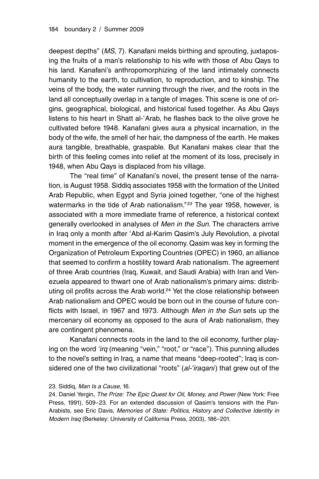deepest depths" (*MS*, 7). Kanafani melds birthing and sprouting, juxtaposing the fruits of a man's relationship to his wife with those of Abu Qays to his land. Kanafani's anthropomorphizing of the land intimately connects humanity to the earth, to cultivation, to reproduction, and to kinship. The veins of the body, the water running through the river, and the roots in the land all conceptually overlap in a tangle of images. This scene is one of origins, geographical, biological, and historical fused together. As Abu Qays listens to his heart in Shatt al-ʿArab, he flashes back to the olive grove he cultivated before 1948. Kanafani gives aura a physical incarnation, in the body of the wife, the smell of her hair, the dampness of the earth. He makes aura tangible, breathable, graspable. But Kanafani makes clear that the birth of this feeling comes into relief at the moment of its loss, precisely in 1948, when Abu Qays is displaced from his village.

The "real time" of Kanafani's novel, the present tense of the narration, is August 1958. Siddiq associates 1958 with the formation of the United Arab Republic, when Egypt and Syria joined together, "one of the highest watermarks in the tide of Arab nationalism."<sup>23</sup> The year 1958, however, is associated with a more immediate frame of reference, a historical context generally overlooked in analyses of *Men in the Sun*. The characters arrive in Iraq only a month after ʿAbd al-Karim Qasim's July Revolution, a pivotal moment in the emergence of the oil economy. Qasim was key in forming the Organization of Petroleum Exporting Countries (OPEC) in 1960, an alliance that seemed to confirm a hostility toward Arab nationalism. The agreement of three Arab countries (Iraq, Kuwait, and Saudi Arabia) with Iran and Venezuela appeared to thwart one of Arab nationalism's primary aims: distributing oil profits across the Arab world.<sup>24</sup> Yet the close relationship between Arab nationalism and OPEC would be born out in the course of future conflicts with Israel, in 1967 and 1973. Although *Men in the Sun* sets up the mercenary oil economy as opposed to the aura of Arab nationalism, they are contingent phenomena.

Kanafani connects roots in the land to the oil economy, further playing on the word *ʿirq* (meaning "vein," "root," or "race"). This punning alludes to the novel's setting in Iraq, a name that means "deep-rooted"; Iraq is considered one of the two civilizational "roots" (*al-ʿiraqani*) that grew out of the

24. Daniel Yergin, *The Prize: The Epic Quest for Oil, Money, and Power* (New York: Free Press, 1991), 509–23. For an extended discussion of Qasim's tensions with the Pan-Arabists, see Eric Davis, *Memories of State: Politics, History and Collective Identity in Modern Iraq* (Berkeley: University of California Press, 2003), 186–201.

<sup>23.</sup> Siddiq, *Man Is a Cause*, 16.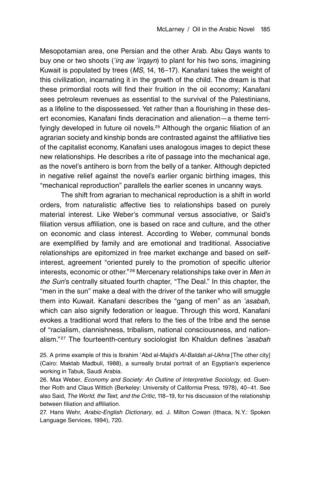Mesopotamian area, one Persian and the other Arab. Abu Qays wants to buy one or two shoots (*ʿirq aw ʿirqayn*) to plant for his two sons, imagining Kuwait is populated by trees (*MS*, 14, 16–17). Kanafani takes the weight of this civilization, incarnating it in the growth of the child. The dream is that these primordial roots will find their fruition in the oil economy; Kanafani sees petroleum revenues as essential to the survival of the Palestinians, as a lifeline to the dispossessed. Yet rather than a flourishing in these desert economies, Kanafani finds deracination and alienation—a theme terrifyingly developed in future oil novels.<sup>25</sup> Although the organic filiation of an agrarian society and kinship bonds are contrasted against the affiliative ties of the capitalist economy, Kanafani uses analogous images to depict these new relationships. He describes a rite of passage into the mechanical age, as the novel's antihero is born from the belly of a tanker. Although depicted in negative relief against the novel's earlier organic birthing images, this "mechanical reproduction" parallels the earlier scenes in uncanny ways.

The shift from agrarian to mechanical reproduction is a shift in world orders, from naturalistic affective ties to relationships based on purely material interest. Like Weber's communal versus associative, or Said's filiation versus affiliation, one is based on race and culture, and the other on economic and class interest. According to Weber, communal bonds are exemplified by family and are emotional and traditional. Associative relationships are epitomized in free market exchange and based on selfinterest, agreement "oriented purely to the promotion of specific ulterior interests, economic or other."26 Mercenary relationships take over in *Men in the Sun*'s centrally situated fourth chapter, "The Deal." In this chapter, the "men in the sun" make a deal with the driver of the tanker who will smuggle them into Kuwait. Kanafani describes the "gang of men" as an *ʿasabah*, which can also signify federation or league. Through this word, Kanafani evokes a traditional word that refers to the ties of the tribe and the sense of "racialism, clannishness, tribalism, national consciousness, and nationalism."27 The fourteenth-century sociologist Ibn Khaldun defines *ʿasabah*

25. A prime example of this is Ibrahim ʿAbd al-Majid's *Al-Baldah al-Ukhra* [The other city] (Cairo: Maktab Madbuli, 1988), a surreally brutal portrait of an Egyptian's experience working in Tabuk, Saudi Arabia.

26. Max Weber, *Economy and Society: An Outline of Interpretive Sociology*, ed. Guenther Roth and Claus Wittich (Berkeley: University of California Press, 1978), 40–41. See also Said, *The World, the Text, and the Critic*, 118–19, for his discussion of the relationship between filiation and affiliation.

27. Hans Wehr, *Arabic-English Dictionary*, ed. J. Milton Cowan (Ithaca, N.Y.: Spoken Language Services, 1994), 720.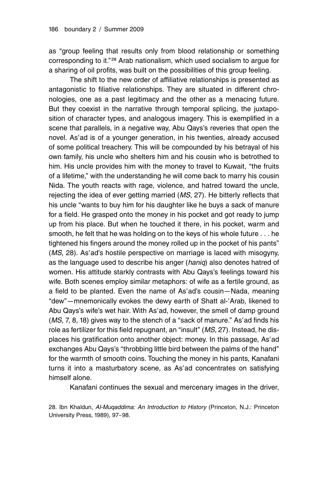as "group feeling that results only from blood relationship or something corresponding to it."28 Arab nationalism, which used socialism to argue for a sharing of oil profits, was built on the possibilities of this group feeling.

The shift to the new order of affiliative relationships is presented as antagonistic to filiative relationships. They are situated in different chronologies, one as a past legitimacy and the other as a menacing future. But they coexist in the narrative through temporal splicing, the juxtaposition of character types, and analogous imagery. This is exemplified in a scene that parallels, in a negative way, Abu Qays's reveries that open the novel. Asʿad is of a younger generation, in his twenties, already accused of some political treachery. This will be compounded by his betrayal of his own family, his uncle who shelters him and his cousin who is betrothed to him. His uncle provides him with the money to travel to Kuwait, "the fruits of a lifetime," with the understanding he will come back to marry his cousin Nida. The youth reacts with rage, violence, and hatred toward the uncle, rejecting the idea of ever getting married (*MS*, 27). He bitterly reflects that his uncle "wants to buy him for his daughter like he buys a sack of manure for a field. He grasped onto the money in his pocket and got ready to jump up from his place. But when he touched it there, in his pocket, warm and smooth, he felt that he was holding on to the keys of his whole future . . . he tightened his fingers around the money rolled up in the pocket of his pants" (*MS*, 28). Asʿad's hostile perspective on marriage is laced with misogyny, as the language used to describe his anger (*haniq*) also denotes hatred of women. His attitude starkly contrasts with Abu Qays's feelings toward his wife. Both scenes employ similar metaphors: of wife as a fertile ground, as a field to be planted. Even the name of Asʿad's cousin—Nada, meaning "dew"—mnemonically evokes the dewy earth of Shatt al-ʿArab, likened to Abu Qays's wife's wet hair. With Asʿad, however, the smell of damp ground (*MS*, 7, 8, 18) gives way to the stench of a "sack of manure." Asʿad finds his role as fertilizer for this field repugnant, an "insult" (*MS*, 27). Instead, he displaces his gratification onto another object: money. In this passage, Asʿad exchanges Abu Qays's "throbbing little bird between the palms of the hand" for the warmth of smooth coins. Touching the money in his pants, Kanafani turns it into a masturbatory scene, as Asʿad concentrates on satisfying himself alone.

Kanafani continues the sexual and mercenary images in the driver,

28. Ibn Khaldun, *Al-Muqaddima: An Introduction to History* (Princeton, N.J.: Princeton University Press, 1989), 97–98.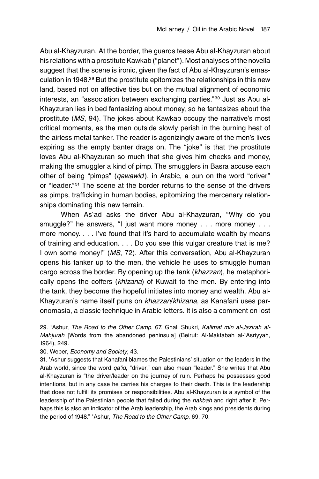Abu al-Khayzuran. At the border, the guards tease Abu al-Khayzuran about his relations with a prostitute Kawkab ("planet"). Most analyses of the novella suggest that the scene is ironic, given the fact of Abu al-Khayzuran's emasculation in 1948.29 But the prostitute epitomizes the relationships in this new land, based not on affective ties but on the mutual alignment of economic interests, an "association between exchanging parties."30 Just as Abu al-Khayzuran lies in bed fantasizing about money, so he fantasizes about the prostitute (*MS*, 94). The jokes about Kawkab occupy the narrative's most critical moments, as the men outside slowly perish in the burning heat of the airless metal tanker. The reader is agonizingly aware of the men's lives expiring as the empty banter drags on. The "joke" is that the prostitute loves Abu al-Khayzuran so much that she gives him checks and money, making the smuggler a kind of pimp. The smugglers in Basra accuse each other of being "pimps" (*qawawid* ), in Arabic, a pun on the word "driver" or "leader."31 The scene at the border returns to the sense of the drivers as pimps, trafficking in human bodies, epitomizing the mercenary relationships dominating this new terrain.

When Asʿad asks the driver Abu al-Khayzuran, "Why do you smuggle?" he answers, "I just want more money . . . more money . . . more money. . . . I've found that it's hard to accumulate wealth by means of training and education. . . . Do you see this vulgar creature that is me? I own some money!" (*MS*, 72). After this conversation, Abu al-Khayzuran opens his tanker up to the men, the vehicle he uses to smuggle human cargo across the border. By opening up the tank (*khazzan*), he metaphorically opens the coffers (*khizana*) of Kuwait to the men. By entering into the tank, they become the hopeful initiates into money and wealth. Abu al-Khayzuran's name itself puns on *khazzan*/*khizana*, as Kanafani uses paronomasia, a classic technique in Arabic letters. It is also a comment on lost

29. ʿAshur, *The Road to the Other Camp*, 67. Ghali Shukri, *Kalimat min al-Jazirah al-Mahjurah* [Words from the abandoned peninsula] (Beirut: Al-Maktabah al-ʿAsriyyah, 1964), 249.

30. Weber, *Economy and Society*, 43.

31. ʿAshur suggests that Kanafani blames the Palestinians' situation on the leaders in the Arab world, since the word *qaʾid*, "driver," can also mean "leader." She writes that Abu al-Khayzuran is "the driver/leader on the journey of ruin. Perhaps he possesses good intentions, but in any case he carries his charges to their death. This is the leadership that does not fulfill its promises or responsibilities. Abu al-Khayzuran is a symbol of the leadership of the Palestinian people that failed during the *nakbah* and right after it. Perhaps this is also an indicator of the Arab leadership, the Arab kings and presidents during the period of 1948." ʿAshur, *The Road to the Other Camp*, 69, 70.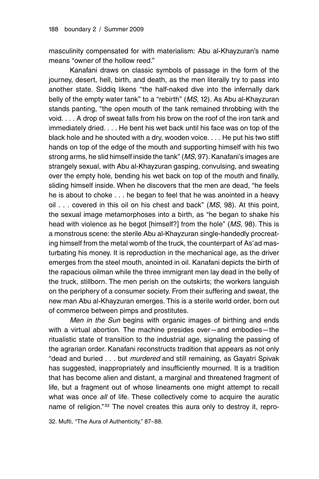masculinity compensated for with materialism: Abu al-Khayzuran's name means "owner of the hollow reed."

Kanafani draws on classic symbols of passage in the form of the journey, desert, hell, birth, and death, as the men literally try to pass into another state. Siddiq likens "the half-naked dive into the infernally dark belly of the empty water tank" to a "rebirth" (*MS*, 12). As Abu al-Khayzuran stands panting, "the open mouth of the tank remained throbbing with the void. . . . A drop of sweat falls from his brow on the roof of the iron tank and immediately dried. . . . He bent his wet back until his face was on top of the black hole and he shouted with a dry, wooden voice. . . . He put his two stiff hands on top of the edge of the mouth and supporting himself with his two strong arms, he slid himself inside the tank" (*MS*, 97). Kanafani's images are strangely sexual, with Abu al-Khayzuran gasping, convulsing, and sweating over the empty hole, bending his wet back on top of the mouth and finally, sliding himself inside. When he discovers that the men are dead, "he feels he is about to choke . . . he began to feel that he was anointed in a heavy oil . . . covered in this oil on his chest and back" (*MS*, 98). At this point, the sexual image metamorphoses into a birth, as "he began to shake his head with violence as he begot [himself?] from the hole" (*MS*, 98). This is a monstrous scene: the sterile Abu al-Khayzuran single-handedly procreating himself from the metal womb of the truck, the counterpart of Asʿad masturbating his money. It is reproduction in the mechanical age, as the driver emerges from the steel mouth, anointed in oil. Kanafani depicts the birth of the rapacious oilman while the three immigrant men lay dead in the belly of the truck, stillborn. The men perish on the outskirts; the workers languish on the periphery of a consumer society. From their suffering and sweat, the new man Abu al-Khayzuran emerges. This is a sterile world order, born out of commerce between pimps and prostitutes.

*Men in the Sun* begins with organic images of birthing and ends with a virtual abortion. The machine presides over—and embodies—the ritualistic state of transition to the industrial age, signaling the passing of the agrarian order. Kanafani reconstructs tradition that appears as not only "dead and buried . . . but *murdered* and still remaining, as Gayatri Spivak has suggested, inappropriately and insufficiently mourned. It is a tradition that has become alien and distant, a marginal and threatened fragment of life, but a fragment out of whose lineaments one might attempt to recall what was once *all* of life. These collectively come to acquire the auratic name of religion."<sup>32</sup> The novel creates this aura only to destroy it, repro-

32. Mufti, "The Aura of Authenticity," 87–88.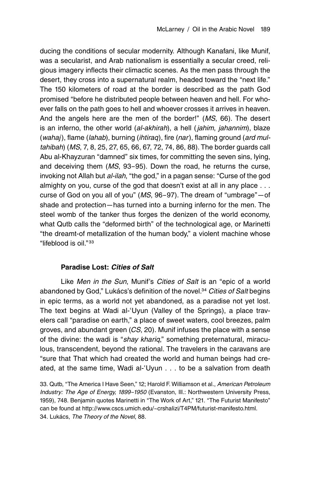ducing the conditions of secular modernity. Although Kanafani, like Munif, was a secularist, and Arab nationalism is essentially a secular creed, religious imagery inflects their climactic scenes. As the men pass through the desert, they cross into a supernatural realm, headed toward the "next life." The 150 kilometers of road at the border is described as the path God promised "before he distributed people between heaven and hell. For whoever falls on the path goes to hell and whoever crosses it arrives in heaven. And the angels here are the men of the border!" (*MS*, 66). The desert is an inferno, the other world (*al-akhirah*), a hell (*jahim*, *jahannim*), blaze (*wahaj*), flame (*lahab*), burning (*ihtiraq*), fire (*nar*), flaming ground (*ard multahibah*) (*MS*, 7, 8, 25, 27, 65, 66, 67, 72, 74, 86, 88). The border guards call Abu al-Khayzuran "damned" six times, for committing the seven sins, lying, and deceiving them (*MS*, 93–95). Down the road, he returns the curse, invoking not Allah but *al-ilah*, "the god," in a pagan sense: "Curse of the god almighty on you, curse of the god that doesn't exist at all in any place . . . curse of God on you all of you" (*MS*, 96–97). The dream of "umbrage"—of shade and protection—has turned into a burning inferno for the men. The steel womb of the tanker thus forges the denizen of the world economy, what Qutb calls the "deformed birth" of the technological age, or Marinetti "the dreamt-of metallization of the human body," a violent machine whose "lifeblood is oil."33

## **Paradise Lost:** *Cities of Salt*

Like *Men in the Sun*, Munif's *Cities of Salt* is an "epic of a world abandoned by God," Lukács's definition of the novel.34 *Cities of Salt* begins in epic terms, as a world not yet abandoned, as a paradise not yet lost. The text begins at Wadi al-ʿUyun (Valley of the Springs), a place travelers call "paradise on earth," a place of sweet waters, cool breezes, palm groves, and abundant green (*CS*, 20). Munif infuses the place with a sense of the divine: the wadi is "*shay khariq*," something preternatural, miraculous, transcendent, beyond the rational. The travelers in the caravans are "sure that That which had created the world and human beings had created, at the same time, Wadi al-ʿUyun . . . to be a salvation from death

33. Qutb, "The America I Have Seen," 12; Harold F. Williamson et al., *American Petroleum Industry: The Age of Energy, 1899–1950* (Evanston, Ill.: Northwestern University Press, 1959), 748. Benjamin quotes Marinetti in "The Work of Art," 121. "The Futurist Manifesto" can be found at http://www.cscs.umich.edu/~crshalizi/T4PM/futurist-manifesto.html. 34. Lukács, *The Theory of the Novel*, 88.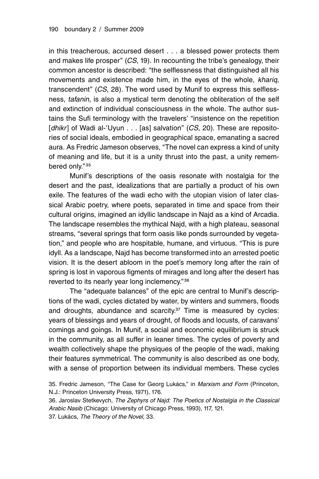in this treacherous, accursed desert . . . a blessed power protects them and makes life prosper" (*CS*, 19). In recounting the tribe's genealogy, their common ancestor is described: "the selflessness that distinguished all his movements and existence made him, in the eyes of the whole, *khariq*, transcendent" (*CS*, 28). The word used by Munif to express this selflessness, *tafanin*, is also a mystical term denoting the obliteration of the self and extinction of individual consciousness in the whole. The author sustains the Sufi terminology with the travelers' "insistence on the repetition [*dhikr*] of Wadi al-'Uyun . . . [as] salvation" (CS, 20). These are repositories of social ideals, embodied in geographical space, emanating a sacred aura. As Fredric Jameson observes, "The novel can express a kind of unity of meaning and life, but it is a unity thrust into the past, a unity remembered only."35

Munif's descriptions of the oasis resonate with nostalgia for the desert and the past, idealizations that are partially a product of his own exile. The features of the wadi echo with the utopian vision of later classical Arabic poetry, where poets, separated in time and space from their cultural origins, imagined an idyllic landscape in Najd as a kind of Arcadia. The landscape resembles the mythical Najd, with a high plateau, seasonal streams, "several springs that form oasis like ponds surrounded by vegetation," and people who are hospitable, humane, and virtuous. "This is pure idyll. As a landscape, Najd has become transformed into an arrested poetic vision. It is the desert abloom in the poet's memory long after the rain of spring is lost in vaporous figments of mirages and long after the desert has reverted to its nearly year long inclemency."36

The "adequate balances" of the epic are central to Munif's descriptions of the wadi, cycles dictated by water, by winters and summers, floods and droughts, abundance and scarcity.<sup>37</sup> Time is measured by cycles: years of blessings and years of drought, of floods and locusts, of caravans' comings and goings. In Munif, a social and economic equilibrium is struck in the community, as all suffer in leaner times. The cycles of poverty and wealth collectively shape the physiques of the people of the wadi, making their features symmetrical. The community is also described as one body, with a sense of proportion between its individual members. These cycles

37. Lukács, *The Theory of the Novel*, 33.

<sup>35.</sup> Fredric Jameson, "The Case for Georg Lukács," in *Marxism and Form* (Princeton, N.J.: Princeton University Press, 1971), 176.

<sup>36.</sup> Jaroslav Stetkevych, *The Zephyrs of Najd: The Poetics of Nostalgia in the Classical Arabic Nasib* (Chicago: University of Chicago Press, 1993), 117, 121.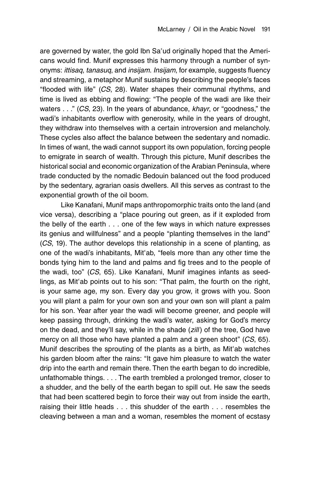are governed by water, the gold Ibn Sa'ud originally hoped that the Americans would find. Munif expresses this harmony through a number of synonyms: *ittisaq*, *tanasuq*, and *insijam*. *Insijam*, for example, suggests fluency and streaming, a metaphor Munif sustains by describing the people's faces "flooded with life" (*CS*, 28). Water shapes their communal rhythms, and time is lived as ebbing and flowing: "The people of the wadi are like their waters . . ." (*CS*, 23). In the years of abundance, *khayr*, or "goodness," the wadi's inhabitants overflow with generosity, while in the years of drought, they withdraw into themselves with a certain introversion and melancholy. These cycles also affect the balance between the sedentary and nomadic. In times of want, the wadi cannot support its own population, forcing people to emigrate in search of wealth. Through this picture, Munif describes the historical social and economic organization of the Arabian Peninsula, where trade conducted by the nomadic Bedouin balanced out the food produced by the sedentary, agrarian oasis dwellers. All this serves as contrast to the exponential growth of the oil boom.

Like Kanafani, Munif maps anthropomorphic traits onto the land (and vice versa), describing a "place pouring out green, as if it exploded from the belly of the earth . . . one of the few ways in which nature expresses its genius and willfulness" and a people "planting themselves in the land" (*CS*, 19). The author develops this relationship in a scene of planting, as one of the wadi's inhabitants, Mitʿab, "feels more than any other time the bonds tying him to the land and palms and fig trees and to the people of the wadi, too" (*CS*, 65). Like Kanafani, Munif imagines infants as seedlings, as Mitʿab points out to his son: "That palm, the fourth on the right, is your same age, my son. Every day you grow, it grows with you. Soon you will plant a palm for your own son and your own son will plant a palm for his son. Year after year the wadi will become greener, and people will keep passing through, drinking the wadi's water, asking for God's mercy on the dead, and they'll say, while in the shade (*zill*) of the tree, God have mercy on all those who have planted a palm and a green shoot" (*CS*, 65). Munif describes the sprouting of the plants as a birth, as Mitʿab watches his garden bloom after the rains: "It gave him pleasure to watch the water drip into the earth and remain there. Then the earth began to do incredible, unfathomable things. . . . The earth trembled a prolonged tremor, closer to a shudder, and the belly of the earth began to spill out. He saw the seeds that had been scattered begin to force their way out from inside the earth, raising their little heads . . . this shudder of the earth . . . resembles the cleaving between a man and a woman, resembles the moment of ecstasy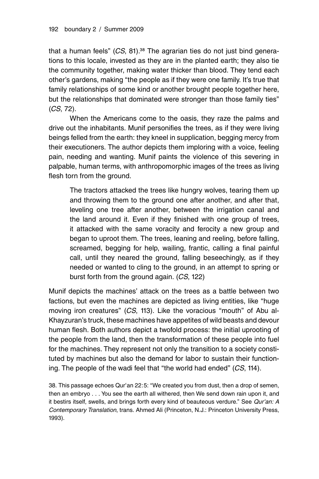that a human feels" (*CS*, 81).38 The agrarian ties do not just bind generations to this locale, invested as they are in the planted earth; they also tie the community together, making water thicker than blood. They tend each other's gardens, making "the people as if they were one family. It's true that family relationships of some kind or another brought people together here, but the relationships that dominated were stronger than those family ties" (*CS*, 72).

When the Americans come to the oasis, they raze the palms and drive out the inhabitants. Munif personifies the trees, as if they were living beings felled from the earth: they kneel in supplication, begging mercy from their executioners. The author depicts them imploring with a voice, feeling pain, needing and wanting. Munif paints the violence of this severing in palpable, human terms, with anthropomorphic images of the trees as living flesh torn from the ground.

The tractors attacked the trees like hungry wolves, tearing them up and throwing them to the ground one after another, and after that, leveling one tree after another, between the irrigation canal and the land around it. Even if they finished with one group of trees, it attacked with the same voracity and ferocity a new group and began to uproot them. The trees, leaning and reeling, before falling, screamed, begging for help, wailing, frantic, calling a final painful call, until they neared the ground, falling beseechingly, as if they needed or wanted to cling to the ground, in an attempt to spring or burst forth from the ground again. (*CS*, 122)

Munif depicts the machines' attack on the trees as a battle between two factions, but even the machines are depicted as living entities, like "huge moving iron creatures" (*CS*, 113). Like the voracious "mouth" of Abu al-Khayzuran's truck, these machines have appetites of wild beasts and devour human flesh. Both authors depict a twofold process: the initial uprooting of the people from the land, then the transformation of these people into fuel for the machines. They represent not only the transition to a society constituted by machines but also the demand for labor to sustain their functioning. The people of the wadi feel that "the world had ended" (*CS*, 114).

38. This passage echoes Qurʿan 22:5: "We created you from dust, then a drop of semen, then an embryo . . . You see the earth all withered, then We send down rain upon it, and it bestirs itself, swells, and brings forth every kind of beauteous verdure." See *Qurʿan: A Contemporary Translation*, trans. Ahmed Ali (Princeton, N.J.: Princeton University Press, 1993).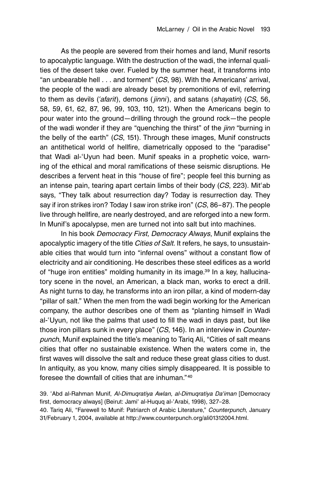As the people are severed from their homes and land, Munif resorts to apocalyptic language. With the destruction of the wadi, the infernal qualities of the desert take over. Fueled by the summer heat, it transforms into "an unbearable hell . . . and torment" (*CS*, 98). With the Americans' arrival, the people of the wadi are already beset by premonitions of evil, referring to them as devils (*ʿafarit*), demons (*jinni*), and satans (*shayatin*) (*CS*, 56, 58, 59, 61, 62, 87, 96, 99, 103, 110, 121). When the Americans begin to pour water into the ground—drilling through the ground rock—the people of the wadi wonder if they are "quenching the thirst" of the *jinn* "burning in the belly of the earth" (*CS*, 151). Through these images, Munif constructs an antithetical world of hellfire, diametrically opposed to the "paradise" that Wadi al-ʿUyun had been. Munif speaks in a prophetic voice, warning of the ethical and moral ramifications of these seismic disruptions. He describes a fervent heat in this "house of fire"; people feel this burning as an intense pain, tearing apart certain limbs of their body (*CS*, 223). Mitʿab says, "They talk about resurrection day? Today is resurrection day. They say if iron strikes iron? Today I saw iron strike iron" (*CS*, 86–87). The people live through hellfire, are nearly destroyed, and are reforged into a new form. In Munif's apocalypse, men are turned not into salt but into machines.

In his book *Democracy First, Democracy Always*, Munif explains the apocalyptic imagery of the title *Cities of Salt*. It refers, he says, to unsustainable cities that would turn into "infernal ovens" without a constant flow of electricity and air conditioning. He describes these steel edifices as a world of "huge iron entities" molding humanity in its image.39 In a key, hallucinatory scene in the novel, an American, a black man, works to erect a drill. As night turns to day, he transforms into an iron pillar, a kind of modern-day "pillar of salt." When the men from the wadi begin working for the American company, the author describes one of them as "planting himself in Wadi al-ʿUyun, not like the palms that used to fill the wadi in days past, but like those iron pillars sunk in every place" (*CS*, 146). In an interview in *Counterpunch*, Munif explained the title's meaning to Tariq Ali, "Cities of salt means cities that offer no sustainable existence. When the waters come in, the first waves will dissolve the salt and reduce these great glass cities to dust. In antiquity, as you know, many cities simply disappeared. It is possible to foresee the downfall of cities that are inhuman."40

39. ʿAbd al-Rahman Munif, *Al-Dimuqratiya Awlan, al-Dimuqratiya Daʿiman* [Democracy first, democracy always] (Beirut: Jami' al-Huquq al-'Arabi, 1998), 327-28. 40. Tariq Ali, "Farewell to Munif: Patriarch of Arabic Literature," *Counterpunch*, January 31/February 1, 2004, available at http://www.counterpunch.org/ali01312004.html.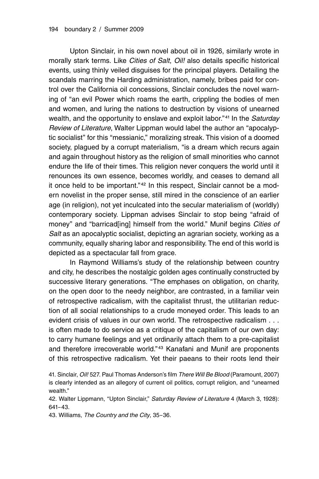Upton Sinclair, in his own novel about oil in 1926, similarly wrote in morally stark terms. Like *Cities of Salt*, *Oil!* also details specific historical events, using thinly veiled disguises for the principal players. Detailing the scandals marring the Harding administration, namely, bribes paid for control over the California oil concessions, Sinclair concludes the novel warning of "an evil Power which roams the earth, crippling the bodies of men and women, and luring the nations to destruction by visions of unearned wealth, and the opportunity to enslave and exploit labor."41 In the *Saturday Review of Literature*, Walter Lippman would label the author an "apocalyptic socialist" for this "messianic," moralizing streak. This vision of a doomed society, plagued by a corrupt materialism, "is a dream which recurs again and again throughout history as the religion of small minorities who cannot endure the life of their times. This religion never conquers the world until it renounces its own essence, becomes worldly, and ceases to demand all it once held to be important."42 In this respect, Sinclair cannot be a modern novelist in the proper sense, still mired in the conscience of an earlier age (in religion), not yet inculcated into the secular materialism of (worldly) contemporary society. Lippman advises Sinclair to stop being "afraid of money" and "barricad[ing] himself from the world." Munif begins *Cities of Salt* as an apocalyptic socialist, depicting an agrarian society, working as a community, equally sharing labor and responsibility. The end of this world is depicted as a spectacular fall from grace.

In Raymond Williams's study of the relationship between country and city, he describes the nostalgic golden ages continually constructed by successive literary generations. "The emphases on obligation, on charity, on the open door to the needy neighbor, are contrasted, in a familiar vein of retrospective radicalism, with the capitalist thrust, the utilitarian reduction of all social relationships to a crude moneyed order. This leads to an evident crisis of values in our own world. The retrospective radicalism . . . is often made to do service as a critique of the capitalism of our own day: to carry humane feelings and yet ordinarily attach them to a pre-capitalist and therefore irrecoverable world."43 Kanafani and Munif are proponents of this retrospective radicalism. Yet their paeans to their roots lend their

43. Williams, *The Country and the City*, 35–36.

<sup>41.</sup> Sinclair, *Oil!* 527. Paul Thomas Anderson's film *There Will Be Blood* (Paramount, 2007) is clearly intended as an allegory of current oil politics, corrupt religion, and "unearned wealth."

<sup>42.</sup> Walter Lippmann, "Upton Sinclair," *Saturday Review of Literature* 4 (March 3, 1928): 641–43.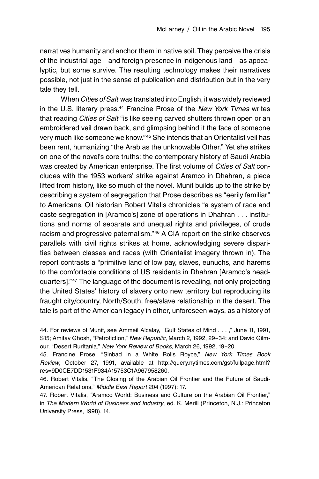narratives humanity and anchor them in native soil. They perceive the crisis of the industrial age—and foreign presence in indigenous land—as apocalyptic, but some survive. The resulting technology makes their narratives possible, not just in the sense of publication and distribution but in the very tale they tell.

When *Cities of Salt* was translated into English, it was widely reviewed in the U.S. literary press.44 Francine Prose of the *New York Times* writes that reading *Cities of Salt* "is like seeing carved shutters thrown open or an embroidered veil drawn back, and glimpsing behind it the face of someone very much like someone we know."45 She intends that an Orientalist veil has been rent, humanizing "the Arab as the unknowable Other." Yet she strikes on one of the novel's core truths: the contemporary history of Saudi Arabia was created by American enterprise. The first volume of *Cities of Salt* concludes with the 1953 workers' strike against Aramco in Dhahran, a piece lifted from history, like so much of the novel. Munif builds up to the strike by describing a system of segregation that Prose describes as "eerily familiar" to Americans. Oil historian Robert Vitalis chronicles "a system of race and caste segregation in [Aramco's] zone of operations in Dhahran . . . institutions and norms of separate and unequal rights and privileges, of crude racism and progressive paternalism."46 A CIA report on the strike observes parallels with civil rights strikes at home, acknowledging severe disparities between classes and races (with Orientalist imagery thrown in). The report contrasts a "primitive land of low pay, slaves, eunuchs, and harems to the comfortable conditions of US residents in Dhahran [Aramco's headquarters]."47 The language of the document is revealing, not only projecting the United States' history of slavery onto new territory but reproducing its fraught city/country, North/South, free/slave relationship in the desert. The tale is part of the American legacy in other, unforeseen ways, as a history of

44. For reviews of Munif, see Ammeil Alcalay, "Gulf States of Mind . . . ," June 11, 1991, S15; Amitav Ghosh, "Petrofiction," *New Republic*, March 2, 1992, 29–34; and David Gilmour, "Desert Ruritania," *New York Review of Books*, March 26, 1992, 19–20.

45. Francine Prose, "Sinbad in a White Rolls Royce," *New York Times Book Review*, October 27, 1991, available at http://query.nytimes.com/gst/fullpage.html? res=9D0CE7DD1531F934A15753C1A967958260.

46. Robert Vitalis, "The Closing of the Arabian Oil Frontier and the Future of Saudi-American Relations," *Middle East Report* 204 (1997): 17.

47. Robert Vitalis, "Aramco World: Business and Culture on the Arabian Oil Frontier," in *The Modern World of Business and Industry*, ed. K. Merill (Princeton, N.J.: Princeton University Press, 1998), 14.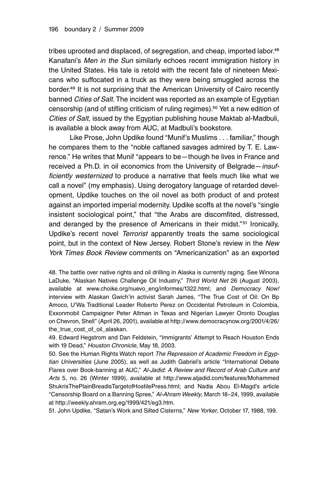tribes uprooted and displaced, of segregation, and cheap, imported labor.<sup>48</sup> Kanafani's *Men in the Sun* similarly echoes recent immigration history in the United States. His tale is retold with the recent fate of nineteen Mexicans who suffocated in a truck as they were being smuggled across the border.49 It is not surprising that the American University of Cairo recently banned *Cities of Salt*. The incident was reported as an example of Egyptian censorship (and of stifling criticism of ruling regimes).<sup>50</sup> Yet a new edition of *Cities of Salt*, issued by the Egyptian publishing house Maktab al-Madbuli, is available a block away from AUC, at Madbuli's bookstore.

Like Prose, John Updike found "Munif's Muslims . . . familiar," though he compares them to the "noble caftaned savages admired by T. E. Lawrence." He writes that Munif "appears to be—though he lives in France and received a Ph.D. in oil economics from the University of Belgrade—*insufficiently westernized* to produce a narrative that feels much like what we call a novel" (my emphasis). Using derogatory language of retarded development, Updike touches on the oil novel as both product of and protest against an imported imperial modernity. Updike scoffs at the novel's "single insistent sociological point," that "the Arabs are discomfited, distressed, and deranged by the presence of Americans in their midst."51 Ironically, Updike's recent novel *Terrorist* apparently treats the same sociological point, but in the context of New Jersey. Robert Stone's review in the *New York Times Book Review* comments on "Americanization" as an exported

48. The battle over native rights and oil drilling in Alaska is currently raging. See Winona LaDuke, "Alaskan Natives Challenge Oil Industry," *Third World Net* 26 (August 2003), available at www.choike.org/nuevo\_eng/informes/1322.html; and *Democracy Now!* interview with Alaskan Gwich'in activist Sarah James, "The True Cost of Oil: On Bp Amoco, U'Wa Traditional Leader Roberto Perez on Occidental Petroleum in Colombia, Exxonmobil Campaigner Peter Altman in Texas and Nigerian Lawyer Oronto Douglas on Chevron, Shell" (April 26, 2001), available at http://www.democracynow.org/2001/4/26/ the\_true\_cost\_of\_oil\_alaskan.

49. Edward Hegstrom and Dan Feldstein, "Immigrants' Attempt to Reach Houston Ends with 19 Dead," *Houston Chronicle*, May 18, 2003.

50. See the Human Rights Watch report *The Repression of Academic Freedom in Egyptian Universities* (June 2005), as well as Judith Gabriel's article "International Debate Flares over Book-banning at AUC," *Al-Jadid: A Review and Record of Arab Culture and Arts* 5, no. 26 (Winter 1999), available at http://www.aljadid.com/features/Mohammed ShukrisThePlainBreadisTargetofHostilePress.html; and Nadia Abou El-Magd's article "Censorship Board on a Banning Spree," *Al-Ahram Weekly*, March 18–24, 1999, available at http://weekly.ahram.org.eg/1999/421/eg3.htm.

51. John Updike, "Satan's Work and Silted Cisterns," *New Yorker*, October 17, 1988, 199.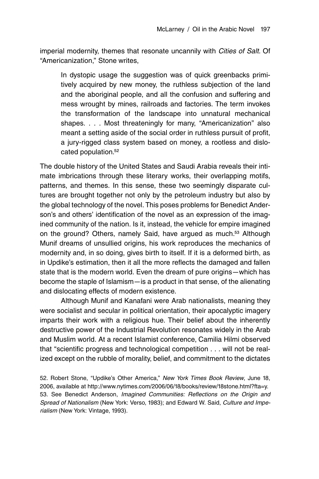imperial modernity, themes that resonate uncannily with *Cities of Salt*. Of "Americanization," Stone writes,

In dystopic usage the suggestion was of quick greenbacks primitively acquired by new money, the ruthless subjection of the land and the aboriginal people, and all the confusion and suffering and mess wrought by mines, railroads and factories. The term invokes the transformation of the landscape into unnatural mechanical shapes. . . . Most threateningly for many, "Americanization" also meant a setting aside of the social order in ruthless pursuit of profit, a jury-rigged class system based on money, a rootless and dislocated population.52

The double history of the United States and Saudi Arabia reveals their intimate imbrications through these literary works, their overlapping motifs, patterns, and themes. In this sense, these two seemingly disparate cultures are brought together not only by the petroleum industry but also by the global technology of the novel. This poses problems for Benedict Anderson's and others' identification of the novel as an expression of the imagined community of the nation. Is it, instead, the vehicle for empire imagined on the ground? Others, namely Said, have argued as much.<sup>53</sup> Although Munif dreams of unsullied origins, his work reproduces the mechanics of modernity and, in so doing, gives birth to itself. If it is a deformed birth, as in Updike's estimation, then it all the more reflects the damaged and fallen state that is the modern world. Even the dream of pure origins—which has become the staple of Islamism—is a product in that sense, of the alienating and dislocating effects of modern existence.

Although Munif and Kanafani were Arab nationalists, meaning they were socialist and secular in political orientation, their apocalyptic imagery imparts their work with a religious hue. Their belief about the inherently destructive power of the Industrial Revolution resonates widely in the Arab and Muslim world. At a recent Islamist conference, Camilia Hilmi observed that "scientific progress and technological competition . . . will not be realized except on the rubble of morality, belief, and commitment to the dictates

52. Robert Stone, "Updike's Other America," *New York Times Book Review*, June 18, 2006, available at http://www.nytimes.com/2006/06/18/books/review/18stone.html?fta=y. 53. See Benedict Anderson, *Imagined Communities: Reflections on the Origin and Spread of Nationalism* (New York: Verso, 1983); and Edward W. Said, *Culture and Imperialism* (New York: Vintage, 1993).